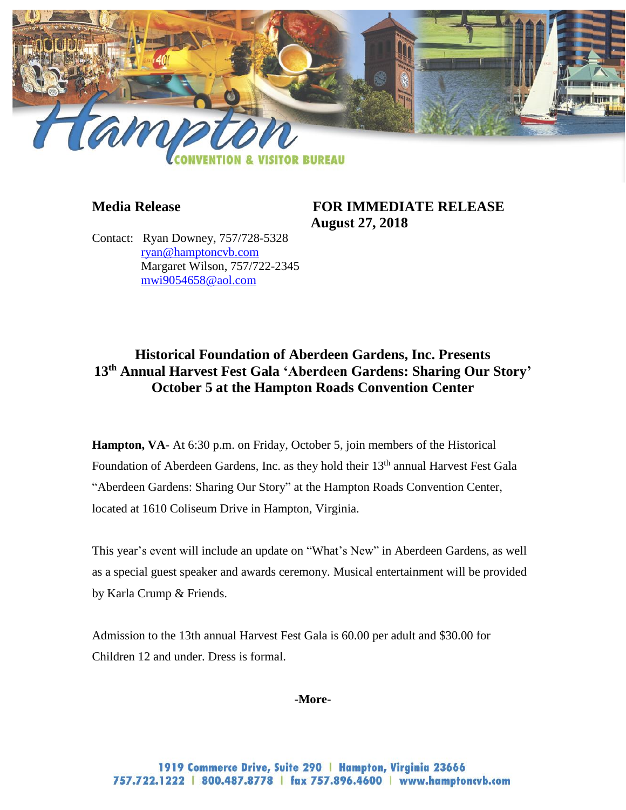

# **Media Release FOR IMMEDIATE RELEASE August 27, 2018**

Contact: Ryan Downey, 757/728-5328 [ryan@hamptoncvb.com](mailto:ryan@hamptoncvb.com) Margaret Wilson, 757/722-2345 [mwi9054658@aol.com](mailto:mwi9054658@aol.com)

# **Historical Foundation of Aberdeen Gardens, Inc. Presents 13th Annual Harvest Fest Gala 'Aberdeen Gardens: Sharing Our Story' October 5 at the Hampton Roads Convention Center**

**Hampton, VA-** At 6:30 p.m. on Friday, October 5, join members of the Historical Foundation of Aberdeen Gardens, Inc. as they hold their 13<sup>th</sup> annual Harvest Fest Gala "Aberdeen Gardens: Sharing Our Story" at the Hampton Roads Convention Center, located at 1610 Coliseum Drive in Hampton, Virginia.

This year's event will include an update on "What's New" in Aberdeen Gardens, as well as a special guest speaker and awards ceremony. Musical entertainment will be provided by Karla Crump & Friends.

Admission to the 13th annual Harvest Fest Gala is 60.00 per adult and \$30.00 for Children 12 and under. Dress is formal.

### **-More-**